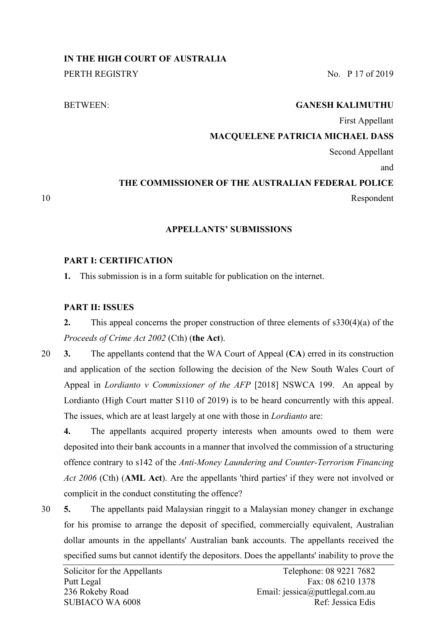# **IN THE HIGH COURT OF AUSTRALIA**

PERTH REGISTRY No. P 17 of 2019

# BETWEEN: **GANESH KALIMUTHU**

First Appellant

# **MACQUELENE PATRICIA MICHAEL DASS**

Second Appellant

and

# **THE COMMISSIONER OF THE AUSTRALIAN FEDERAL POLICE**

10 Respondent

# **APPELLANTS' SUBMISSIONS**

# **PART I: CERTIFICATION**

**1.** This submission is in a form suitable for publication on the internet.

# **PART II: ISSUES**

**2.** This appeal concerns the proper construction of three elements of s330(4)(a) of the *Proceeds of Crime Act 2002* (Cth) (**the Act**).

20 **3.** The appellants contend that the WA Court of Appeal (**CA**) erred in its construction and application of the section following the decision of the New South Wales Court of Appeal in *Lordianto v Commissioner of the AFP* [2018] NSWCA 199. An appeal by Lordianto (High Court matter S110 of 2019) is to be heard concurrently with this appeal. The issues, which are at least largely at one with those in *Lordianto* are:

**4.** The appellants acquired property interests when amounts owed to them were deposited into their bank accounts in a manner that involved the commission of a structuring offence contrary to s142 of the *Anti-Money Laundering and Counter-Terrorism Financing Act 2006* (Cth) (**AML Act**). Are the appellants 'third parties' if they were not involved or complicit in the conduct constituting the offence?

30 **5.** The appellants paid Malaysian ringgit to a Malaysian money changer in exchange for his promise to arrange the deposit of specified, commercially equivalent, Australian dollar amounts in the appellants' Australian bank accounts. The appellants received the specified sums but cannot identify the depositors. Does the appellants' inability to prove the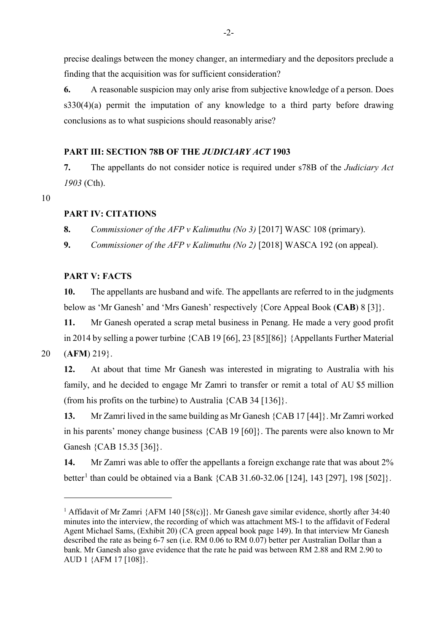precise dealings between the money changer, an intermediary and the depositors preclude a finding that the acquisition was for sufficient consideration?

**6.** A reasonable suspicion may only arise from subjective knowledge of a person. Does s330(4)(a) permit the imputation of any knowledge to a third party before drawing conclusions as to what suspicions should reasonably arise?

# **PART III: SECTION 78B OF THE** *JUDICIARY ACT* **1903**

**7.** The appellants do not consider notice is required under s78B of the *Judiciary Act 1903* (Cth).

10

# **PART IV: CITATIONS**

**8.** *Commissioner of the AFP v Kalimuthu (No 3)* [2017] WASC 108 (primary).

**9.** *Commissioner of the AFP v Kalimuthu (No 2)* [2018] WASCA 192 (on appeal).

# **PART V: FACTS**

**10.** The appellants are husband and wife. The appellants are referred to in the judgments below as 'Mr Ganesh' and 'Mrs Ganesh' respectively {Core Appeal Book (**CAB**) 8 [3]}.

**11.** Mr Ganesh operated a scrap metal business in Penang. He made a very good profit in 2014 by selling a power turbine {CAB 19 [66], 23 [85][86]} {Appellants Further Material

20 (**AFM**) 219}.

-

**12.** At about that time Mr Ganesh was interested in migrating to Australia with his family, and he decided to engage Mr Zamri to transfer or remit a total of AU \$5 million (from his profits on the turbine) to Australia  ${CAB}$  34 [136].

**13.** Mr Zamri lived in the same building as Mr Ganesh {CAB 17 [44]}. Mr Zamri worked in his parents' money change business {CAB 19 [60]}. The parents were also known to Mr Ganesh {CAB 15.35 [36]}.

<span id="page-1-1"></span>**14.** Mr Zamri was able to offer the appellants a foreign exchange rate that was about 2% better<sup>[1](#page-1-0)</sup> than could be obtained via a Bank {CAB 31.60-32.06 [124], 143 [297], 198 [502]}.

<span id="page-1-0"></span><sup>&</sup>lt;sup>1</sup> Affidavit of Mr Zamri {AFM 140 [58(c)]}. Mr Ganesh gave similar evidence, shortly after 34:40 minutes into the interview, the recording of which was attachment MS-1 to the affidavit of Federal Agent Michael Sams, (Exhibit 20) (CA green appeal book page 149). In that interview Mr Ganesh described the rate as being 6-7 sen (i.e. RM 0.06 to RM 0.07) better per Australian Dollar than a bank. Mr Ganesh also gave evidence that the rate he paid was between RM 2.88 and RM 2.90 to AUD 1 {AFM 17 [108]}.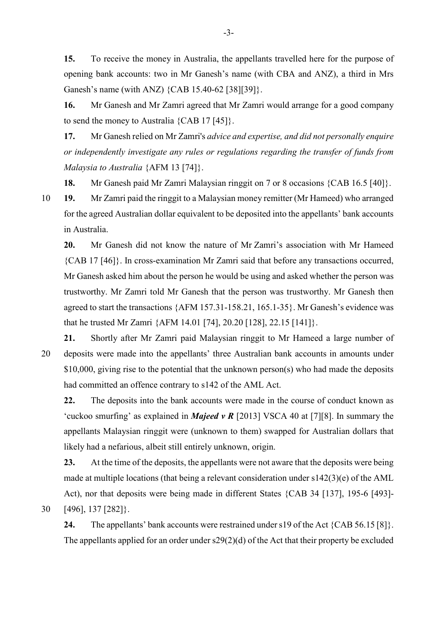**15.** To receive the money in Australia, the appellants travelled here for the purpose of opening bank accounts: two in Mr Ganesh's name (with CBA and ANZ), a third in Mrs Ganesh's name (with ANZ) {CAB 15.40-62 [38][39]}.

**16.** Mr Ganesh and Mr Zamri agreed that Mr Zamri would arrange for a good company to send the money to Australia {CAB 17 [45]}.

<span id="page-2-0"></span>**17.** Mr Ganesh relied on Mr Zamri's *advice and expertise, and did not personally enquire or independently investigate any rules or regulations regarding the transfer of funds from Malaysia to Australia* {AFM 13 [74]}.

**18.** Mr Ganesh paid Mr Zamri Malaysian ringgit on 7 or 8 occasions {CAB 16.5 [40]}.

10 **19.** Mr Zamri paid the ringgit to a Malaysian money remitter (Mr Hameed) who arranged for the agreed Australian dollar equivalent to be deposited into the appellants' bank accounts in Australia.

**20.** Mr Ganesh did not know the nature of Mr Zamri's association with Mr Hameed {CAB 17 [46]}. In cross-examination Mr Zamri said that before any transactions occurred, Mr Ganesh asked him about the person he would be using and asked whether the person was trustworthy. Mr Zamri told Mr Ganesh that the person was trustworthy. Mr Ganesh then agreed to start the transactions {AFM 157.31-158.21, 165.1-35}. Mr Ganesh's evidence was that he trusted Mr Zamri {AFM 14.01 [74], 20.20 [128], 22.15 [141]}.

**21.** Shortly after Mr Zamri paid Malaysian ringgit to Mr Hameed a large number of 20 deposits were made into the appellants' three Australian bank accounts in amounts under \$10,000, giving rise to the potential that the unknown person(s) who had made the deposits had committed an offence contrary to s142 of the AML Act.

**22.** The deposits into the bank accounts were made in the course of conduct known as 'cuckoo smurfing' as explained in *Majeed v R* [2013] VSCA 40 at [7][8]. In summary the appellants Malaysian ringgit were (unknown to them) swapped for Australian dollars that likely had a nefarious, albeit still entirely unknown, origin.

**23.** At the time of the deposits, the appellants were not aware that the deposits were being made at multiple locations (that being a relevant consideration under s142(3)(e) of the AML Act), nor that deposits were being made in different States {CAB 34 [137], 195-6 [493]- 30 [496], 137 [282]}.

**24.** The appellants' bank accounts were restrained under s19 of the Act {CAB 56.15 [8]}. The appellants applied for an order under  $s29(2)(d)$  of the Act that their property be excluded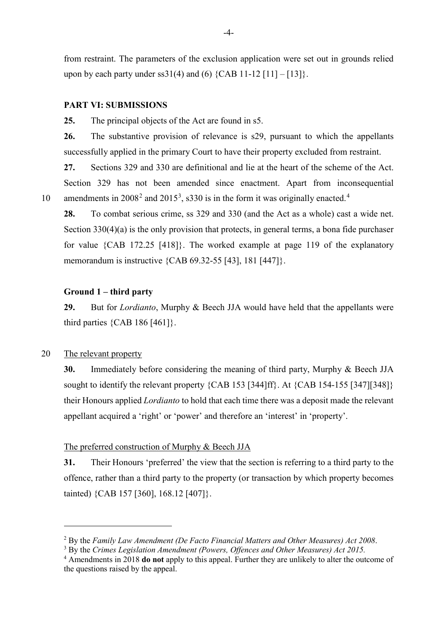from restraint. The parameters of the exclusion application were set out in grounds relied upon by each party under ss $31(4)$  and (6) {CAB 11-12 [11] – [13]}.

#### **PART VI: SUBMISSIONS**

**25.** The principal objects of the Act are found in s5.

**26.** The substantive provision of relevance is s29, pursuant to which the appellants successfully applied in the primary Court to have their property excluded from restraint.

**27.** Sections 329 and 330 are definitional and lie at the heart of the scheme of the Act. Section 329 has not been amended since enactment. Apart from inconsequential 10 amendments in  $2008^2$  $2008^2$  and  $2015^3$  $2015^3$ , s330 is in the form it was originally enacted.<sup>[4](#page-3-2)</sup>

**28.** To combat serious crime, ss 329 and 330 (and the Act as a whole) cast a wide net. Section  $330(4)(a)$  is the only provision that protects, in general terms, a bona fide purchaser for value {CAB 172.25 [418]}. The worked example at page 119 of the explanatory memorandum is instructive {CAB 69.32-55 [43], 181 [447]}.

# **Ground 1 – third party**

**29.** But for *Lordianto*, Murphy & Beech JJA would have held that the appellants were third parties  $\{CAB 186 [461]\}.$ 

# 20 The relevant property

-

**30.** Immediately before considering the meaning of third party, Murphy & Beech JJA sought to identify the relevant property {CAB 153 [344]ff}. At {CAB 154-155 [347][348]} their Honours applied *Lordianto* to hold that each time there was a deposit made the relevant appellant acquired a 'right' or 'power' and therefore an 'interest' in 'property'.

### The preferred construction of Murphy & Beech JJA

**31.** Their Honours 'preferred' the view that the section is referring to a third party to the offence, rather than a third party to the property (or transaction by which property becomes tainted) {CAB 157 [360], 168.12 [407]}.

<span id="page-3-0"></span><sup>2</sup> By the *Family Law Amendment (De Facto Financial Matters and Other Measures) Act 2008*.

<sup>3</sup> By the *Crimes Legislation Amendment (Powers, Offences and Other Measures) Act 2015.*

<span id="page-3-2"></span><span id="page-3-1"></span><sup>4</sup> Amendments in 2018 **do not** apply to this appeal. Further they are unlikely to alter the outcome of the questions raised by the appeal.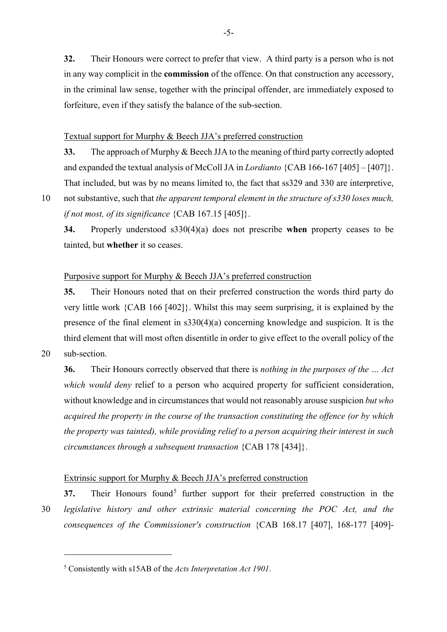**32.** Their Honours were correct to prefer that view. A third party is a person who is not in any way complicit in the **commission** of the offence. On that construction any accessory, in the criminal law sense, together with the principal offender, are immediately exposed to forfeiture, even if they satisfy the balance of the sub-section.

# Textual support for Murphy & Beech JJA's preferred construction

**33.** The approach of Murphy & Beech JJA to the meaning of third party correctly adopted and expanded the textual analysis of McColl JA in *Lordianto* {CAB 166-167 [405] – [407]}. That included, but was by no means limited to, the fact that ss329 and 330 are interpretive,

10 not substantive, such that *the apparent temporal element in the structure of s330 loses much, if not most, of its significance* {CAB 167.15 [405]}.

**34.** Properly understood s330(4)(a) does not prescribe **when** property ceases to be tainted, but **whether** it so ceases.

# Purposive support for Murphy & Beech JJA's preferred construction

**35.** Their Honours noted that on their preferred construction the words third party do very little work {CAB 166 [402]}. Whilst this may seem surprising, it is explained by the presence of the final element in s330(4)(a) concerning knowledge and suspicion. It is the third element that will most often disentitle in order to give effect to the overall policy of the 20 sub-section.

-

**36.** Their Honours correctly observed that there is *nothing in the purposes of the … Act which would deny* relief to a person who acquired property for sufficient consideration, without knowledge and in circumstances that would not reasonably arouse suspicion *but who acquired the property in the course of the transaction constituting the offence (or by which the property was tainted), while providing relief to a person acquiring their interest in such circumstances through a subsequent transaction* {CAB 178 [434]}.

# Extrinsic support for Murphy & Beech JJA's preferred construction

**37.** Their Honours found<sup>[5](#page-4-0)</sup> further support for their preferred construction in the 30 *legislative history and other extrinsic material concerning the POC Act, and the consequences of the Commissioner's construction* {CAB 168.17 [407], 168-177 [409]-

<span id="page-4-0"></span><sup>5</sup> Consistently with s15AB of the *Acts Interpretation Act 1901*.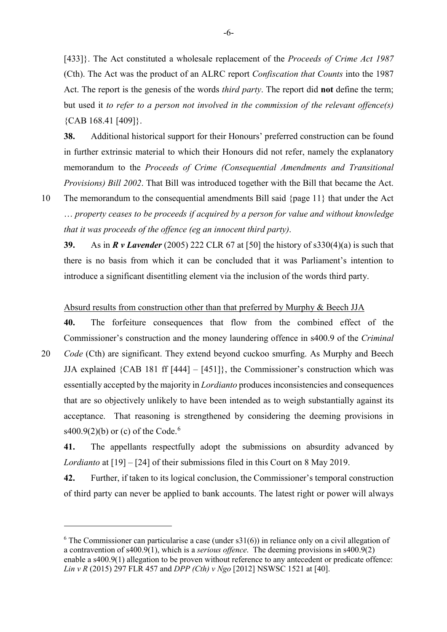[433]}. The Act constituted a wholesale replacement of the *Proceeds of Crime Act 1987* (Cth). The Act was the product of an ALRC report *Confiscation that Counts* into the 1987 Act. The report is the genesis of the words *third party*. The report did **not** define the term; but used it *to refer to a person not involved in the commission of the relevant offence(s)* {CAB 168.41 [409]}.

**38.** Additional historical support for their Honours' preferred construction can be found in further extrinsic material to which their Honours did not refer, namely the explanatory memorandum to the *Proceeds of Crime (Consequential Amendments and Transitional Provisions) Bill 2002*. That Bill was introduced together with the Bill that became the Act.

10 The memorandum to the consequential amendments Bill said {page 11} that under the Act … *property ceases to be proceeds if acquired by a person for value and without knowledge that it was proceeds of the offence (eg an innocent third party)*.

**39.** As in *R v Lavender* (2005) 222 CLR 67 at [50] the history of s330(4)(a) is such that there is no basis from which it can be concluded that it was Parliament's intention to introduce a significant disentitling element via the inclusion of the words third party.

#### Absurd results from construction other than that preferred by Murphy & Beech JJA

**40.** The forfeiture consequences that flow from the combined effect of the Commissioner's construction and the money laundering offence in s400.9 of the *Criminal*  20 *Code* (Cth) are significant. They extend beyond cuckoo smurfing. As Murphy and Beech JJA explained  ${CAB 181 ff [444] - [451]}$ , the Commissioner's construction which was essentially accepted by the majority in *Lordianto* produces inconsistencies and consequences that are so objectively unlikely to have been intended as to weigh substantially against its acceptance. That reasoning is strengthened by considering the deeming provisions in s400.9(2)(b) or (c) of the Code.<sup>[6](#page-5-0)</sup>

**41.** The appellants respectfully adopt the submissions on absurdity advanced by *Lordianto* at [19] – [24] of their submissions filed in this Court on 8 May 2019.

**42.** Further, if taken to its logical conclusion, the Commissioner's temporal construction of third party can never be applied to bank accounts. The latest right or power will always

-

<span id="page-5-0"></span> $6$  The Commissioner can particularise a case (under s31(6)) in reliance only on a civil allegation of a contravention of s400.9(1), which is a *serious offence*. The deeming provisions in s400.9(2) enable a s400.9(1) allegation to be proven without reference to any antecedent or predicate offence: *Lin v R* (2015) 297 FLR 457 and *DPP (Cth) v Ngo* [2012] NSWSC 1521 at [40].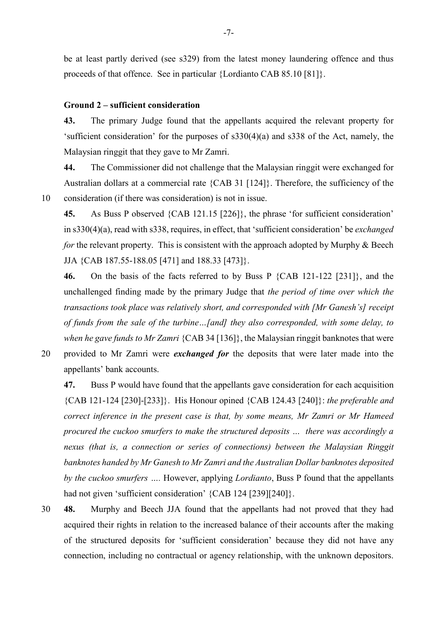be at least partly derived (see s329) from the latest money laundering offence and thus proceeds of that offence. See in particular {Lordianto CAB 85.10 [81]}.

# **Ground 2 – sufficient consideration**

**43.** The primary Judge found that the appellants acquired the relevant property for 'sufficient consideration' for the purposes of s330(4)(a) and s338 of the Act, namely, the Malaysian ringgit that they gave to Mr Zamri.

**44.** The Commissioner did not challenge that the Malaysian ringgit were exchanged for Australian dollars at a commercial rate {CAB 31 [124]}. Therefore, the sufficiency of the 10 consideration (if there was consideration) is not in issue.

**45.** As Buss P observed {CAB 121.15 [226]}, the phrase 'for sufficient consideration' in s330(4)(a), read with s338, requires, in effect, that 'sufficient consideration' be *exchanged for* the relevant property. This is consistent with the approach adopted by Murphy & Beech JJA {CAB 187.55-188.05 [471] and 188.33 [473]}.

**46.** On the basis of the facts referred to by Buss P {CAB 121-122 [231]}, and the unchallenged finding made by the primary Judge that *the period of time over which the transactions took place was relatively short, and corresponded with [Mr Ganesh's] receipt of funds from the sale of the turbine…[and] they also corresponded, with some delay, to when he gave funds to Mr Zamri* {CAB 34 [136]}, the Malaysian ringgit banknotes that were 20 provided to Mr Zamri were *exchanged for* the deposits that were later made into the

appellants' bank accounts.

**47.** Buss P would have found that the appellants gave consideration for each acquisition {CAB 121-124 [230]-[233]}. His Honour opined {CAB 124.43 [240]}: *the preferable and correct inference in the present case is that, by some means, Mr Zamri or Mr Hameed procured the cuckoo smurfers to make the structured deposits … there was accordingly a nexus (that is, a connection or series of connections) between the Malaysian Ringgit banknotes handed by Mr Ganesh to Mr Zamri and the Australian Dollar banknotes deposited by the cuckoo smurfers ….* However, applying *Lordianto*, Buss P found that the appellants had not given 'sufficient consideration' {CAB 124 [239][240]}.

30 **48.** Murphy and Beech JJA found that the appellants had not proved that they had acquired their rights in relation to the increased balance of their accounts after the making of the structured deposits for 'sufficient consideration' because they did not have any connection, including no contractual or agency relationship, with the unknown depositors.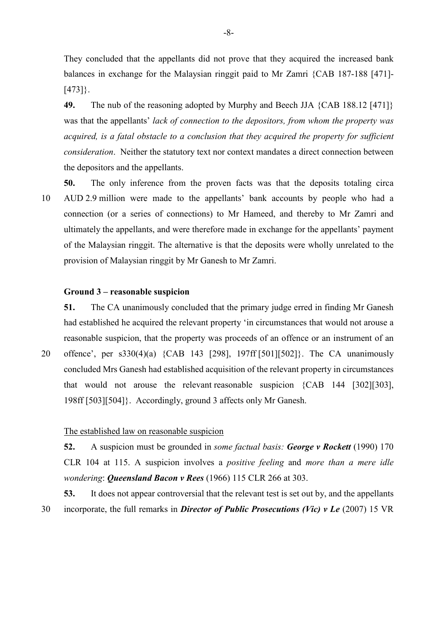They concluded that the appellants did not prove that they acquired the increased bank balances in exchange for the Malaysian ringgit paid to Mr Zamri {CAB 187-188 [471]- [473]}.

**49.** The nub of the reasoning adopted by Murphy and Beech JJA {CAB 188.12 [471]} was that the appellants' *lack of connection to the depositors, from whom the property was acquired, is a fatal obstacle to a conclusion that they acquired the property for sufficient consideration*. Neither the statutory text nor context mandates a direct connection between the depositors and the appellants.

**50.** The only inference from the proven facts was that the deposits totaling circa 10 AUD 2.9 million were made to the appellants' bank accounts by people who had a connection (or a series of connections) to Mr Hameed, and thereby to Mr Zamri and ultimately the appellants, and were therefore made in exchange for the appellants' payment of the Malaysian ringgit. The alternative is that the deposits were wholly unrelated to the provision of Malaysian ringgit by Mr Ganesh to Mr Zamri.

#### **Ground 3 – reasonable suspicion**

**51.** The CA unanimously concluded that the primary judge erred in finding Mr Ganesh had established he acquired the relevant property 'in circumstances that would not arouse a reasonable suspicion, that the property was proceeds of an offence or an instrument of an 20 offence', per s330(4)(a) {CAB 143 [298], 197ff [501][502]}. The CA unanimously concluded Mrs Ganesh had established acquisition of the relevant property in circumstances

that would not arouse the relevant reasonable suspicion {CAB 144 [302][303],

198ff [503][504]}. Accordingly, ground 3 affects only Mr Ganesh.

#### The established law on reasonable suspicion

**52.** A suspicion must be grounded in *some factual basis: George v Rockett* (1990) 170 CLR 104 at 115. A suspicion involves a *positive feeling* and *more than a mere idle wondering*: *Queensland Bacon v Rees* (1966) 115 CLR 266 at 303.

**53.** It does not appear controversial that the relevant test is set out by, and the appellants 30 incorporate, the full remarks in *Director of Public Prosecutions (Vic) v Le* (2007) 15 VR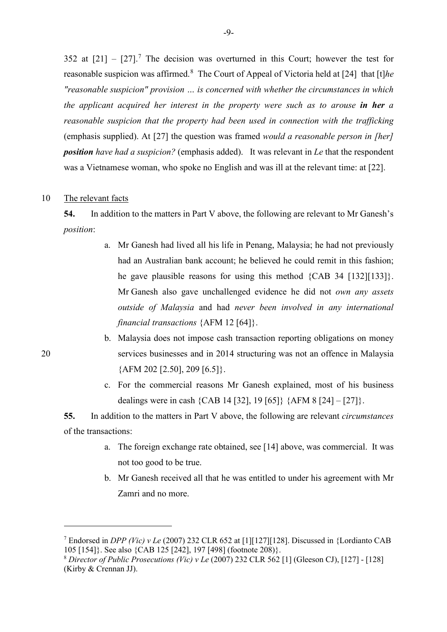352 at  $[21] - [27]$  $[21] - [27]$  $[21] - [27]$ .<sup>7</sup> The decision was overturned in this Court; however the test for reasonable suspicion was affirmed.[8](#page-8-1) The Court of Appeal of Victoria held at [24] that [t]*he "reasonable suspicion" provision … is concerned with whether the circumstances in which the applicant acquired her interest in the property were such as to arouse in her a reasonable suspicion that the property had been used in connection with the trafficking* (emphasis supplied). At [27] the question was framed *would a reasonable person in [her] position have had a suspicion?* (emphasis added). It was relevant in *Le* that the respondent was a Vietnamese woman, who spoke no English and was ill at the relevant time: at [22].

#### 10 The relevant facts

<span id="page-8-2"></span>**54.** In addition to the matters in Part V above, the following are relevant to Mr Ganesh's *position*:

- a. Mr Ganesh had lived all his life in Penang, Malaysia; he had not previously had an Australian bank account; he believed he could remit in this fashion; he gave plausible reasons for using this method {CAB 34 [132][133]}. Mr Ganesh also gave unchallenged evidence he did not *own any assets outside of Malaysia* and had *never been involved in any international financial transactions* {AFM 12 [64]}.
- b. Malaysia does not impose cash transaction reporting obligations on money 20 services businesses and in 2014 structuring was not an offence in Malaysia  ${AFM 202 [2.50], 209 [6.5]}.$ 
	- c. For the commercial reasons Mr Ganesh explained, most of his business dealings were in cash {CAB 14 [32], 19 [65]} {AFM 8 [24] – [27]}.

<span id="page-8-3"></span>**55.** In addition to the matters in Part V above, the following are relevant *circumstances* of the transactions:

- a. The foreign exchange rate obtained, see [\[14\]](#page-1-1) above, was commercial. It was not too good to be true.
- b. Mr Ganesh received all that he was entitled to under his agreement with Mr Zamri and no more.

-

<span id="page-8-0"></span><sup>7</sup> Endorsed in *DPP (Vic) v Le* (2007) 232 CLR 652 at [1][127][128]. Discussed in {Lordianto CAB 105 [154]}. See also {CAB 125 [242], 197 [498] (footnote 208)}.

<span id="page-8-1"></span><sup>8</sup> *Director of Public Prosecutions (Vic) v Le* (2007) 232 CLR 562 [1] (Gleeson CJ), [127] - [128] (Kirby & Crennan JJ).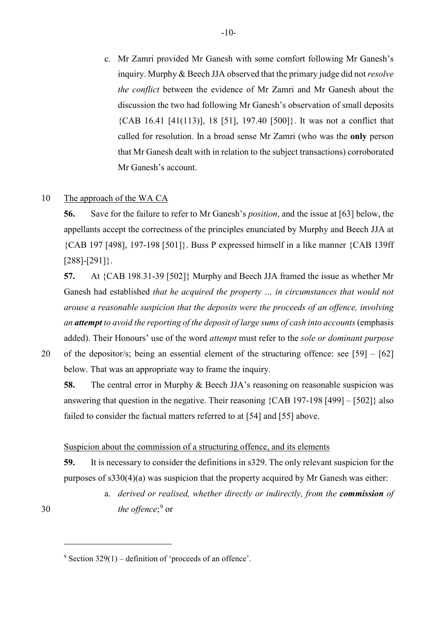c. Mr Zamri provided Mr Ganesh with some comfort following Mr Ganesh's inquiry. Murphy & Beech JJA observed that the primary judge did not *resolve the conflict* between the evidence of Mr Zamri and Mr Ganesh about the discussion the two had following Mr Ganesh's observation of small deposits {CAB 16.41 [41(113)], 18 [51], 197.40 [500]}. It was not a conflict that called for resolution. In a broad sense Mr Zamri (who was the **only** person that Mr Ganesh dealt with in relation to the subject transactions) corroborated Mr Ganesh's account.

# 10 The approach of the WA CA

**56.** Save for the failure to refer to Mr Ganesh's *position*, and the issue at [\[63\]](#page-10-0) below, the appellants accept the correctness of the principles enunciated by Murphy and Beech JJA at {CAB 197 [498], 197-198 [501]}. Buss P expressed himself in a like manner {CAB 139ff [288]-[291]}.

**57.** At {CAB 198.31-39 [502]} Murphy and Beech JJA framed the issue as whether Mr Ganesh had established *that he acquired the property … in circumstances that would not arouse a reasonable suspicion that the deposits were the proceeds of an offence, involving an attempt to avoid the reporting of the deposit of large sums of cash into accounts*(emphasis added). Their Honours' use of the word *attempt* must refer to the *sole or dominant purpose*

20 of the depositor/s; being an essential element of the structuring offence: see [\[59\]](#page-9-0) – [62]

-

below. That was an appropriate way to frame the inquiry.

**58.** The central error in Murphy & Beech JJA's reasoning on reasonable suspicion was answering that question in the negative. Their reasoning {CAB 197-198 [499] – [502]} also failed to consider the factual matters referred to at [\[54\]](#page-8-2) and [\[55\]](#page-8-3) above.

# Suspicion about the commission of a structuring offence, and its elements

<span id="page-9-0"></span>**59.** It is necessary to consider the definitions in s329. The only relevant suspicion for the purposes of s330(4)(a) was suspicion that the property acquired by Mr Ganesh was either:

a. *derived or realised, whether directly or indirectly, from the commission of*  30 *the offence*;<sup>[9](#page-9-1)</sup> or

<span id="page-9-1"></span> $9$  Section 329(1) – definition of 'proceeds of an offence'.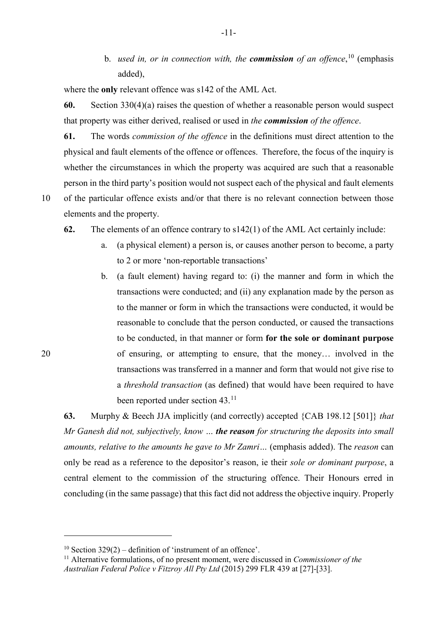b. *used in, or in connection with, the commission of an offence*, [10](#page-10-1) (emphasis added),

where the **only** relevant offence was s142 of the AML Act.

**60.** Section 330(4)(a) raises the question of whether a reasonable person would suspect that property was either derived, realised or used in *the commission of the offence*.

**61.** The words *commission of the offence* in the definitions must direct attention to the physical and fault elements of the offence or offences. Therefore, the focus of the inquiry is whether the circumstances in which the property was acquired are such that a reasonable person in the third party's position would not suspect each of the physical and fault elements 10 of the particular offence exists and/or that there is no relevant connection between those

<u>.</u>

elements and the property.

**62.** The elements of an offence contrary to s142(1) of the AML Act certainly include:

- a. (a physical element) a person is, or causes another person to become, a party to 2 or more 'non-reportable transactions'
- b. (a fault element) having regard to: (i) the manner and form in which the transactions were conducted; and (ii) any explanation made by the person as to the manner or form in which the transactions were conducted, it would be reasonable to conclude that the person conducted, or caused the transactions to be conducted, in that manner or form **for the sole or dominant purpose** 20 of ensuring, or attempting to ensure, that the money… involved in the transactions was transferred in a manner and form that would not give rise to a *threshold transaction* (as defined) that would have been required to have been reported under section 43.<sup>[11](#page-10-2)</sup>

<span id="page-10-0"></span>**63.** Murphy & Beech JJA implicitly (and correctly) accepted {CAB 198.12 [501]} *that Mr Ganesh did not, subjectively, know … the reason for structuring the deposits into small amounts, relative to the amounts he gave to Mr Zamri…* (emphasis added). The *reason* can only be read as a reference to the depositor's reason, ie their *sole or dominant purpose*, a central element to the commission of the structuring offence. Their Honours erred in concluding (in the same passage) that this fact did not address the objective inquiry. Properly

<sup>&</sup>lt;sup>10</sup> Section 329(2) – definition of 'instrument of an offence'.

<span id="page-10-2"></span><span id="page-10-1"></span><sup>11</sup> Alternative formulations, of no present moment, were discussed in *Commissioner of the Australian Federal Police v Fitzroy All Pty Ltd* (2015) 299 FLR 439 at [27]-[33].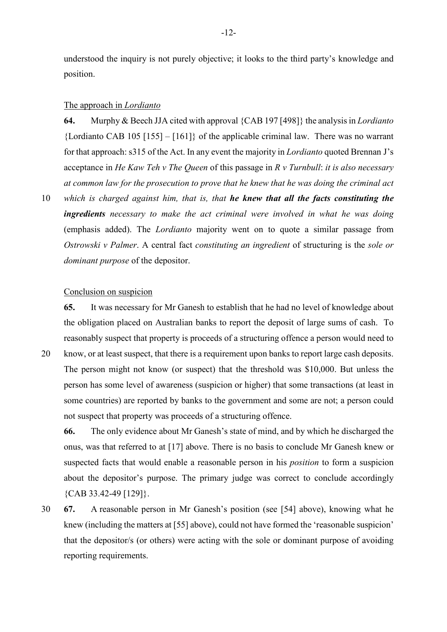understood the inquiry is not purely objective; it looks to the third party's knowledge and position.

#### The approach in *Lordianto*

**64.** Murphy & Beech JJA cited with approval {CAB 197 [498]} the analysis in *Lordianto*  ${Lordi}$  and CAB 105 [155] – [161]} of the applicable criminal law. There was no warrant for that approach: s315 of the Act. In any event the majority in *Lordianto* quoted Brennan J's acceptance in *He Kaw Teh v The Queen* of this passage in *R v Turnbull*: *it is also necessary at common law for the prosecution to prove that he knew that he was doing the criminal act* 

10 *which is charged against him, that is, that he knew that all the facts constituting the ingredients necessary to make the act criminal were involved in what he was doing* (emphasis added). The *Lordianto* majority went on to quote a similar passage from *Ostrowski v Palmer*. A central fact *constituting an ingredient* of structuring is the *sole or dominant purpose* of the depositor.

# Conclusion on suspicion

**65.** It was necessary for Mr Ganesh to establish that he had no level of knowledge about the obligation placed on Australian banks to report the deposit of large sums of cash. To reasonably suspect that property is proceeds of a structuring offence a person would need to

20 know, or at least suspect, that there is a requirement upon banks to report large cash deposits. The person might not know (or suspect) that the threshold was \$10,000. But unless the person has some level of awareness (suspicion or higher) that some transactions (at least in some countries) are reported by banks to the government and some are not; a person could not suspect that property was proceeds of a structuring offence.

**66.** The only evidence about Mr Ganesh's state of mind, and by which he discharged the onus, was that referred to at [\[17\]](#page-2-0) above. There is no basis to conclude Mr Ganesh knew or suspected facts that would enable a reasonable person in his *position* to form a suspicion about the depositor's purpose. The primary judge was correct to conclude accordingly {CAB 33.42-49 [129]}.

30 **67.** A reasonable person in Mr Ganesh's position (see [\[54\]](#page-8-2) above), knowing what he knew (including the matters at [\[55\]](#page-8-3) above), could not have formed the 'reasonable suspicion' that the depositor/s (or others) were acting with the sole or dominant purpose of avoiding reporting requirements.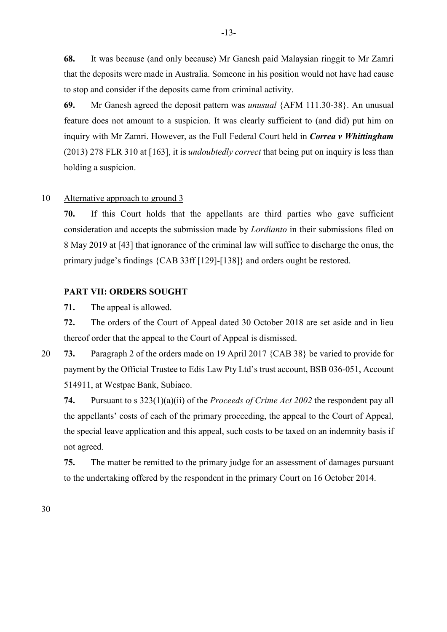**68.** It was because (and only because) Mr Ganesh paid Malaysian ringgit to Mr Zamri that the deposits were made in Australia. Someone in his position would not have had cause to stop and consider if the deposits came from criminal activity.

**69.** Mr Ganesh agreed the deposit pattern was *unusual* {AFM 111.30-38}. An unusual feature does not amount to a suspicion. It was clearly sufficient to (and did) put him on inquiry with Mr Zamri. However, as the Full Federal Court held in *Correa v Whittingham* (2013) 278 FLR 310 at [163], it is *undoubtedly correct* that being put on inquiry is less than holding a suspicion.

#### 10 Alternative approach to ground 3

**70.** If this Court holds that the appellants are third parties who gave sufficient consideration and accepts the submission made by *Lordianto* in their submissions filed on 8 May 2019 at [43] that ignorance of the criminal law will suffice to discharge the onus, the primary judge's findings {CAB 33ff [129]-[138]} and orders ought be restored.

# **PART VII: ORDERS SOUGHT**

**71.** The appeal is allowed.

**72.** The orders of the Court of Appeal dated 30 October 2018 are set aside and in lieu thereof order that the appeal to the Court of Appeal is dismissed.

20 **73.** Paragraph 2 of the orders made on 19 April 2017 {CAB 38} be varied to provide for payment by the Official Trustee to Edis Law Pty Ltd's trust account, BSB 036-051, Account 514911, at Westpac Bank, Subiaco.

**74.** Pursuant to s 323(1)(a)(ii) of the *Proceeds of Crime Act 2002* the respondent pay all the appellants' costs of each of the primary proceeding, the appeal to the Court of Appeal, the special leave application and this appeal, such costs to be taxed on an indemnity basis if not agreed.

**75.** The matter be remitted to the primary judge for an assessment of damages pursuant to the undertaking offered by the respondent in the primary Court on 16 October 2014.

30